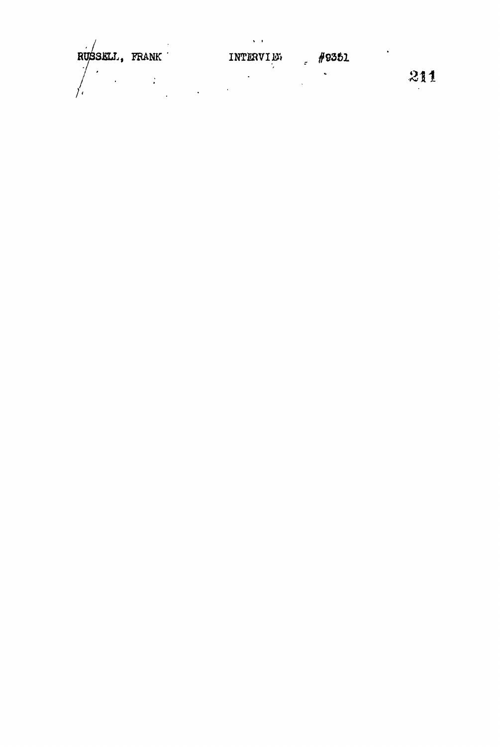RUSSELJ., FRANK INTERVIER  $\frac{1}{2}$  #9351  $\label{eq:2} \frac{1}{\sqrt{2}}\sum_{i=1}^n\frac{1}{\sqrt{2}}\sum_{i=1}^n\frac{1}{\sqrt{2}}\sum_{i=1}^n\frac{1}{\sqrt{2}}\sum_{i=1}^n\frac{1}{\sqrt{2}}\sum_{i=1}^n\frac{1}{\sqrt{2}}\sum_{i=1}^n\frac{1}{\sqrt{2}}\sum_{i=1}^n\frac{1}{\sqrt{2}}\sum_{i=1}^n\frac{1}{\sqrt{2}}\sum_{i=1}^n\frac{1}{\sqrt{2}}\sum_{i=1}^n\frac{1}{\sqrt{2}}\sum_{i=1}^n\frac{1$  $\ddot{\phantom{a}}$ 211  $\frac{1}{2} \sum_{i=1}^{n} \frac{1}{2} \sum_{j=1}^{n} \frac{1}{2} \sum_{j=1}^{n} \frac{1}{2} \sum_{j=1}^{n} \frac{1}{2} \sum_{j=1}^{n} \frac{1}{2} \sum_{j=1}^{n} \frac{1}{2} \sum_{j=1}^{n} \frac{1}{2} \sum_{j=1}^{n} \frac{1}{2} \sum_{j=1}^{n} \frac{1}{2} \sum_{j=1}^{n} \frac{1}{2} \sum_{j=1}^{n} \frac{1}{2} \sum_{j=1}^{n} \frac{1}{2} \sum_{j=1}^{n$  $\overline{a}$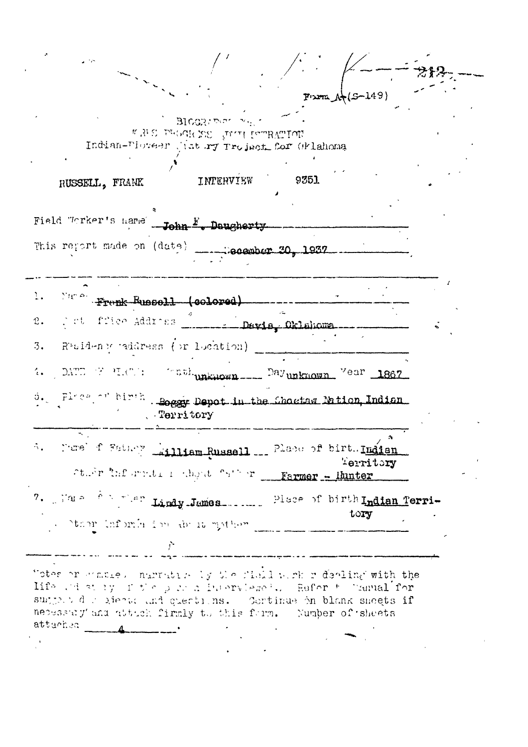|                                                                                                                                                                                                                                                                                   |                                            |                   |                           | <del>강</del> 원 |
|-----------------------------------------------------------------------------------------------------------------------------------------------------------------------------------------------------------------------------------------------------------------------------------|--------------------------------------------|-------------------|---------------------------|----------------|
|                                                                                                                                                                                                                                                                                   |                                            |                   | $From A*(S-149)$          |                |
| Indian-Floreer Jist ry Troject for Orlahoma                                                                                                                                                                                                                                       | BIGGRAMM IN<br>WHERE THE THE LOCAL STRAINS |                   |                           |                |
| RUSSELL, FRANK                                                                                                                                                                                                                                                                    | INTERVIEW                                  | 9351              |                           |                |
| Field "Crker's name"<br>This report made on (date)                                                                                                                                                                                                                                | John <sup>F</sup> . Daugherty              | Canonber 30, 1937 |                           |                |
| March Frank Russell (colored)                                                                                                                                                                                                                                                     |                                            |                   |                           |                |
| Pot ffice Address<br>$\mathfrak{L}$ .                                                                                                                                                                                                                                             |                                            | - Davis Oklahoma  |                           |                |
| Residence eddress (or location)<br>3.                                                                                                                                                                                                                                             |                                            |                   |                           |                |
| DATE F MRC: The maknown ___ Dayunknown Vear 1867<br>$\mathcal{L}_{\bullet}$                                                                                                                                                                                                       |                                            |                   |                           |                |
| Flore of birth.<br>$\mathfrak{S}_{\bullet}$<br>. Territory                                                                                                                                                                                                                        | Soggy Depot in the Chartan Mition Indian   |                   |                           |                |
| More f Father Lilliam Russell  Place of birt. Indian<br>Starr Thformation when "s" r __Farmer - lunter                                                                                                                                                                            |                                            |                   | $\mathbf{a}$<br>Territory |                |
| 7. Full for the Lindy-James  Place of birth Indian Terri-<br>reality of the control model reads.                                                                                                                                                                                  |                                            |                   | tory                      |                |
|                                                                                                                                                                                                                                                                                   |                                            |                   |                           |                |
| Totes or manue, number by the field with redeeling with the<br>His admirting for para home where . Refer to hammal for<br>surport der gienal and questions. Continue bn blank sheets if<br>necessary and attach firmly to this form. Number of sheets<br>attached<br>$\mathbf{A}$ |                                            |                   |                           |                |
|                                                                                                                                                                                                                                                                                   |                                            |                   |                           |                |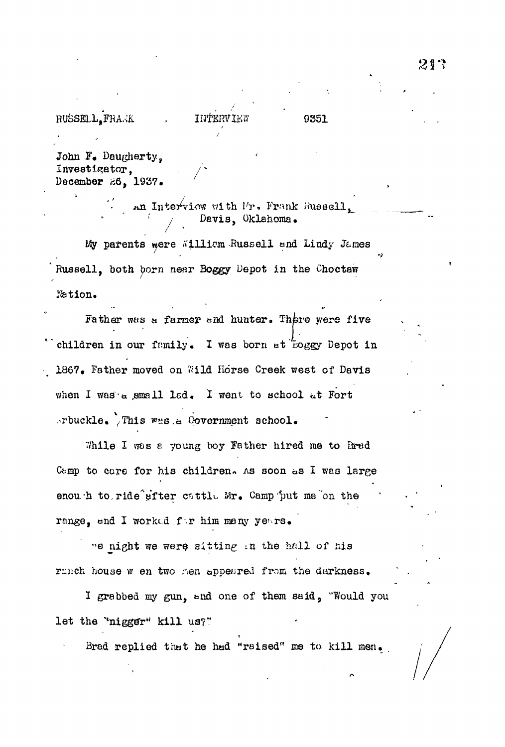## **RUSSELL** FRAMK . INTERVIEW 9351

John F. Daugherty, Investigator, . *h* December 26, 1937.

> $an$  Interview with  $lr_0$ . Frank Russell<sub>a</sub> Davis, Oklahoma.

My parents were #illicm Russell and Lindy James Russell, both born near Boggy Depot in the Choctaw r&tion.

*i*

Father was a farmer and hunter. There were five children in our family. I was born at roggy Depot in 1867. Father moved on Wild Horse Creek west of Davis when I was a small lad. I went to school at Fort .rbuckle. This was a Government school.

While I was a young boy Father hired me to Bred Camp to care for his children. As soon as I was large enou.h to ride efter cattle Mr. Camp put me on the range, and I worked for him many years.

"e night we were sitting in the hall of his ranch house w en two men appeared from the darkness.

I grabbed my gun, and one of them said, "Would you let the "nigger" kill us?"

Brad replied that he had "raised" me to kill men.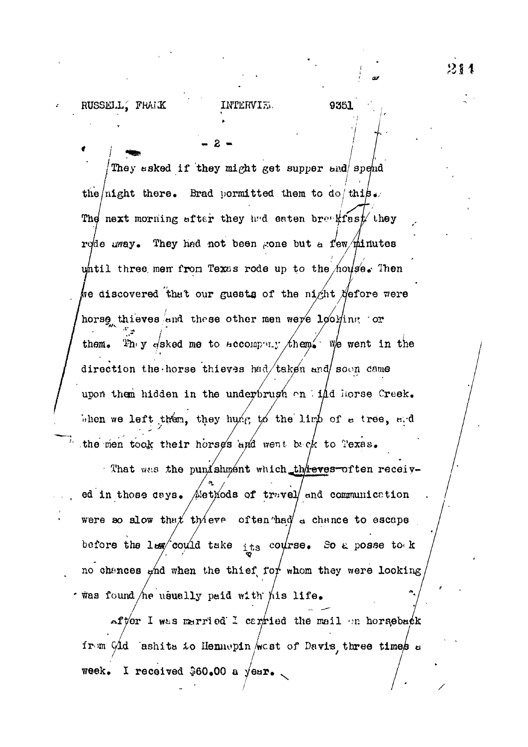### RUSSELL, FRAMK

9351

They asked if they might get supper and spend the *night* there. Brad pormitted them to do this. The next morning after they had eaten breakfast they rode away. They had not been gone but a few  $\#$ inutes whill three men from Texas rode up to the house. Then we discovered that our guests of the night  $\#$ efore were horse thieves and these other men were looking or  $2n_y$  y dsked me to accompany them. We went in the them. direction the horse thieves had/taken and soon came upon them hidden in the underbrugh on iidd horse Creek. When we left then, they hung to the limb of a tree, and the men took their horses and went back to Texas.

That was the punishment which the ves-often received in those days. Methods of truvel and communication were so slow that there often had a chance to escape before the law could take its course. So a posse to k no chances ghd when the thief for whom they were looking was found he usually paid with his life.

After I was married I cantied the mail on horseback from Gld ashits to Hennepin /west of Davis three times a Week. I received \$60.00 a year.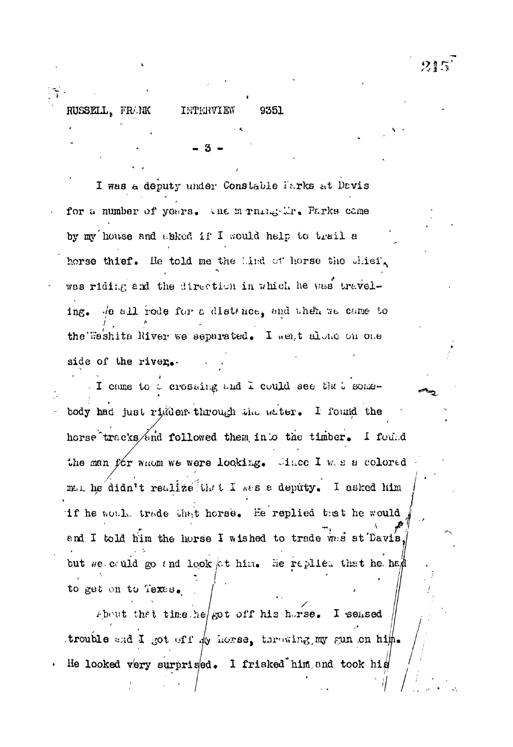RUSSELL, FRAK

INTERVIEW 9351

I was a deputy under Constable Parks at Davis for a number of years. the m rule: Mr. Parks came by my house and asked if I would help to trail a horse thief. He told me the Lind of horse the chief. was riding and the direction in which he was traveling. Je all rode for a distance, and when we came to the Weshita River we separated. I went alone on one side of the river.

I came to a crossing and I could see that somebody had just righer through the water. I found the horse tracks/and followed them into the timber. I found the man for whom we were looking. Since I was a colored man he didn't realize that I was a deputy. I asked him if he would trade that horse. He replied that he would and I told him the horse I wished to trade was at Davis. but we could go and look at him. He raplied that he had to get on to Texas.

About that time he got off his horse. I sensed trouble and I got off dy horse, there ing my gun on him. He looked very surprised. I frisked him and took his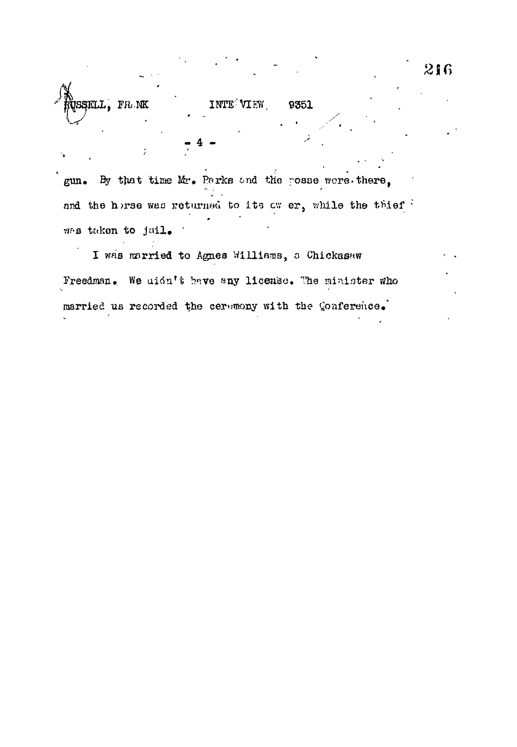INTE VIEW. 9351

JSSKLL, FRAK

gun. By that time Mr. Parks and the posse were there, and the horse was returned to its ow er, while the thief was taken to jail.

I was married to Agnes Williams, a Chickasaw Freedman. We uidn't have any license. The minister who married us recorded the ceremony with the Conference.